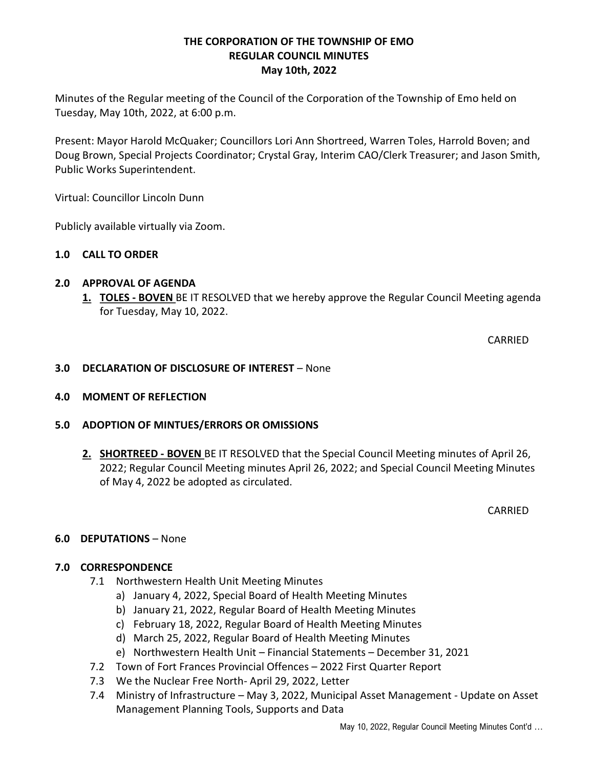## THE CORPORATION OF THE TOWNSHIP OF EMO REGULAR COUNCIL MINUTES May 10th, 2022

Minutes of the Regular meeting of the Council of the Corporation of the Township of Emo held on Tuesday, May 10th, 2022, at 6:00 p.m.

Present: Mayor Harold McQuaker; Councillors Lori Ann Shortreed, Warren Toles, Harrold Boven; and Doug Brown, Special Projects Coordinator; Crystal Gray, Interim CAO/Clerk Treasurer; and Jason Smith, Public Works Superintendent.

Virtual: Councillor Lincoln Dunn

Publicly available virtually via Zoom.

## 1.0 CALL TO ORDER

## 2.0 APPROVAL OF AGENDA

1. TOLES - BOVEN BE IT RESOLVED that we hereby approve the Regular Council Meeting agenda for Tuesday, May 10, 2022.

CARRIED

### 3.0 DECLARATION OF DISCLOSURE OF INTEREST – None

## 4.0 MOMENT OF REFLECTION

## 5.0 ADOPTION OF MINTUES/ERRORS OR OMISSIONS

2. SHORTREED - BOVEN BE IT RESOLVED that the Special Council Meeting minutes of April 26, 2022; Regular Council Meeting minutes April 26, 2022; and Special Council Meeting Minutes of May 4, 2022 be adopted as circulated.

CARRIED

## 6.0 DEPUTATIONS – None

## 7.0 CORRESPONDENCE

- 7.1 Northwestern Health Unit Meeting Minutes
	- a) January 4, 2022, Special Board of Health Meeting Minutes
	- b) January 21, 2022, Regular Board of Health Meeting Minutes
	- c) February 18, 2022, Regular Board of Health Meeting Minutes
	- d) March 25, 2022, Regular Board of Health Meeting Minutes
	- e) Northwestern Health Unit Financial Statements December 31, 2021
- 7.2 Town of Fort Frances Provincial Offences 2022 First Quarter Report
- 7.3 We the Nuclear Free North- April 29, 2022, Letter
- 7.4 Ministry of Infrastructure May 3, 2022, Municipal Asset Management Update on Asset Management Planning Tools, Supports and Data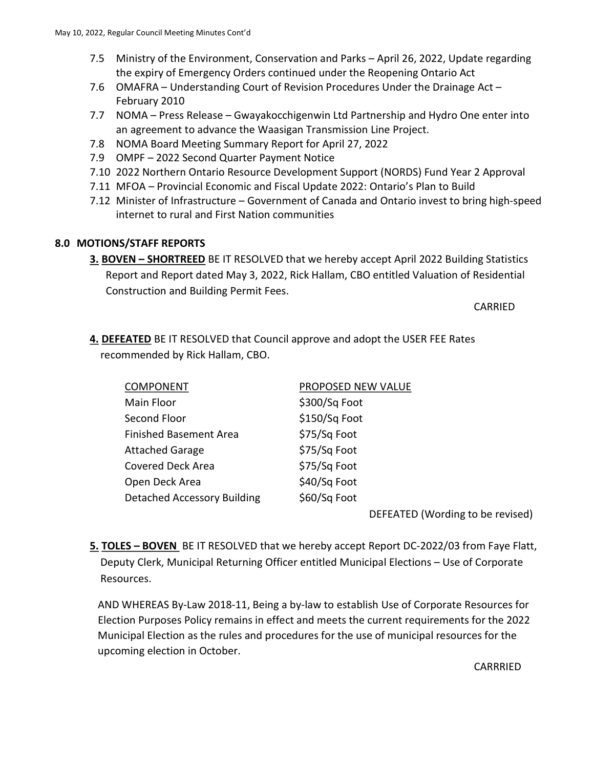- 7.5 Ministry of the Environment, Conservation and Parks April 26, 2022, Update regarding the expiry of Emergency Orders continued under the Reopening Ontario Act
- 7.6 OMAFRA Understanding Court of Revision Procedures Under the Drainage Act February 2010
- 7.7 NOMA Press Release Gwayakocchigenwin Ltd Partnership and Hydro One enter into an agreement to advance the Waasigan Transmission Line Project.
- 7.8 NOMA Board Meeting Summary Report for April 27, 2022
- 7.9 OMPF 2022 Second Quarter Payment Notice
- 7.10 2022 Northern Ontario Resource Development Support (NORDS) Fund Year 2 Approval
- 7.11 MFOA Provincial Economic and Fiscal Update 2022: Ontario's Plan to Build
- 7.12 Minister of Infrastructure Government of Canada and Ontario invest to bring high-speed internet to rural and First Nation communities

# 8.0 MOTIONS/STAFF REPORTS

3. BOVEN – SHORTREED BE IT RESOLVED that we hereby accept April 2022 Building Statistics Report and Report dated May 3, 2022, Rick Hallam, CBO entitled Valuation of Residential Construction and Building Permit Fees.

**CARRIED** 

4. DEFEATED BE IT RESOLVED that Council approve and adopt the USER FEE Rates recommended by Rick Hallam, CBO.

| <b>COMPONENT</b>              | PROPOSED NEW VALUE |                                  |
|-------------------------------|--------------------|----------------------------------|
| Main Floor                    | \$300/Sq Foot      |                                  |
| Second Floor                  | \$150/Sq Foot      |                                  |
| <b>Finished Basement Area</b> | \$75/Sq Foot       |                                  |
| <b>Attached Garage</b>        | \$75/Sq Foot       |                                  |
| <b>Covered Deck Area</b>      | \$75/Sq Foot       |                                  |
| Open Deck Area                | \$40/Sq Foot       |                                  |
| Detached Accessory Building   | \$60/Sq Foot       |                                  |
|                               |                    | DEFEATED (Wording to be revised) |

5. TOLES - BOVEN BE IT RESOLVED that we hereby accept Report DC-2022/03 from Faye Flatt, Deputy Clerk, Municipal Returning Officer entitled Municipal Elections – Use of Corporate Resources.

 AND WHEREAS By-Law 2018-11, Being a by-law to establish Use of Corporate Resources for Election Purposes Policy remains in effect and meets the current requirements for the 2022 Municipal Election as the rules and procedures for the use of municipal resources for the upcoming election in October.

**CARRRIED**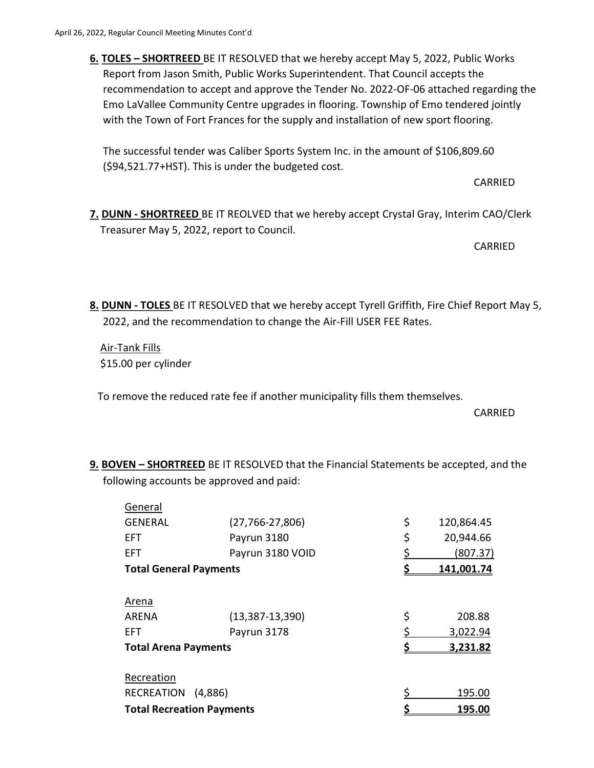6. TOLES – SHORTREED BE IT RESOLVED that we hereby accept May 5, 2022, Public Works Report from Jason Smith, Public Works Superintendent. That Council accepts the recommendation to accept and approve the Tender No. 2022-OF-06 attached regarding the Emo LaVallee Community Centre upgrades in flooring. Township of Emo tendered jointly with the Town of Fort Frances for the supply and installation of new sport flooring.

The successful tender was Caliber Sports System Inc. in the amount of \$106,809.60 (\$94,521.77+HST). This is under the budgeted cost.

CARRIED

 7. DUNN - SHORTREED BE IT REOLVED that we hereby accept Crystal Gray, Interim CAO/Clerk Treasurer May 5, 2022, report to Council.

CARRIED

8. DUNN - TOLES BE IT RESOLVED that we hereby accept Tyrell Griffith, Fire Chief Report May 5, 2022, and the recommendation to change the Air-Fill USER FEE Rates.

 Air-Tank Fills \$15.00 per cylinder

To remove the reduced rate fee if another municipality fills them themselves.

CARRIED

9. BOVEN – SHORTREED BE IT RESOLVED that the Financial Statements be accepted, and the following accounts be approved and paid:

|  | General                                                          |                       |                  |
|--|------------------------------------------------------------------|-----------------------|------------------|
|  | <b>GENERAL</b>                                                   | $(27, 766 - 27, 806)$ | \$<br>120,864.45 |
|  | <b>EFT</b>                                                       | Payrun 3180           | \$<br>20,944.66  |
|  | <b>EFT</b>                                                       | Payrun 3180 VOID      | (807.37)         |
|  | <b>Total General Payments</b>                                    |                       | 141,001.74       |
|  | <b>Arena</b>                                                     |                       |                  |
|  | <b>ARENA</b>                                                     | $(13, 387 - 13, 390)$ | \$<br>208.88     |
|  | <b>EFT</b>                                                       | Payrun 3178           | 3,022.94         |
|  | <b>Total Arena Payments</b>                                      |                       | 3,231.82         |
|  | Recreation                                                       |                       |                  |
|  | <b>RECREATION</b><br>(4,886)<br><b>Total Recreation Payments</b> |                       | 195.00           |
|  |                                                                  |                       | 195.00           |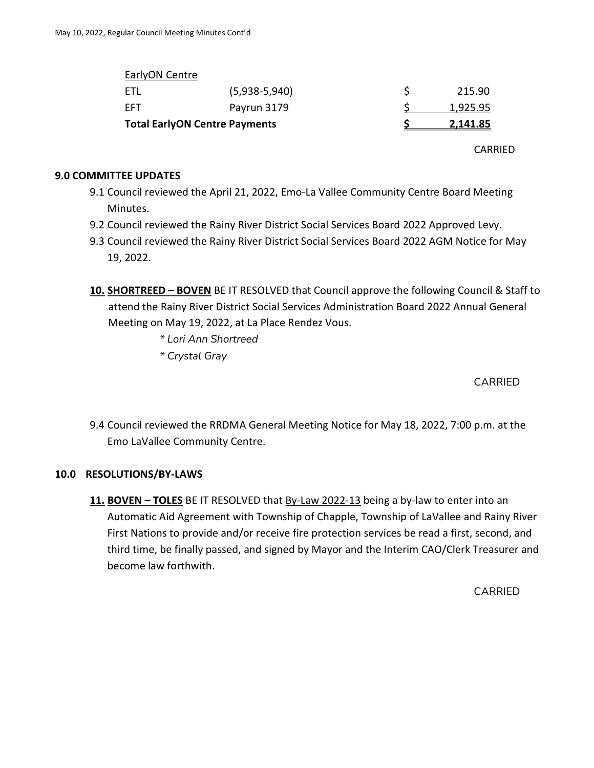| <b>Total EarlyON Centre Payments</b> |                 | 2,141.85 |
|--------------------------------------|-----------------|----------|
| FFT                                  | Payrun 3179     | 1,925.95 |
| ETL                                  | $(5,938-5,940)$ | 215.90   |
| EarlyON Centre                       |                 |          |

CARRIED

### 9.0 COMMITTEE UPDATES

- 9.1 Council reviewed the April 21, 2022, Emo-La Vallee Community Centre Board Meeting Minutes.
- 9.2 Council reviewed the Rainy River District Social Services Board 2022 Approved Levy.
- 9.3 Council reviewed the Rainy River District Social Services Board 2022 AGM Notice for May 19, 2022.
- 10. SHORTREED BOVEN BE IT RESOLVED that Council approve the following Council & Staff to attend the Rainy River District Social Services Administration Board 2022 Annual General Meeting on May 19, 2022, at La Place Rendez Vous.
	- \* Lori Ann Shortreed
	- \* Crystal Gray

CARRIED

9.4 Council reviewed the RRDMA General Meeting Notice for May 18, 2022, 7:00 p.m. at the Emo LaVallee Community Centre.

# 10.0 RESOLUTIONS/BY-LAWS

11. BOVEN – TOLES BE IT RESOLVED that By-Law 2022-13 being a by-law to enter into an Automatic Aid Agreement with Township of Chapple, Township of LaVallee and Rainy River First Nations to provide and/or receive fire protection services be read a first, second, and third time, be finally passed, and signed by Mayor and the Interim CAO/Clerk Treasurer and become law forthwith.

CARRIED